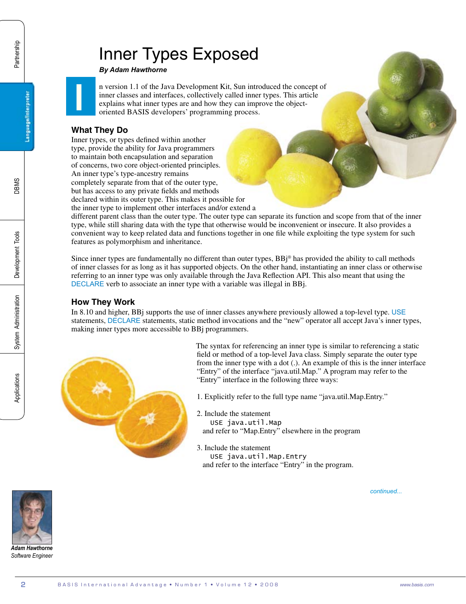# Inner Types Exposed

*By Adam Hawthorne*

n version 1.1 of the Java Development Kit, Sun introduced the concept of inner classes and interfaces, collectively called inner types. This article explains what inner types are and how they can improve the objectoriented BASIS developers' programming process.

### **What They Do**

**I**

Inner types, or types defined within another type, provide the ability for Java programmers to maintain both encapsulation and separation of concerns, two core object-oriented principles. An inner type's type-ancestry remains completely separate from that of the outer type, but has access to any private fields and methods

declared within its outer type. This makes it possible for

the inner type to implement other interfaces and/or extend a different parent class than the outer type. The outer type can separate its function and scope from that of the inner type, while still sharing data with the type that otherwise would be inconvenient or insecure. It also provides a convenient way to keep related data and functions together in one file while exploiting the type system for such features as polymorphism and inheritance.

Since inner types are fundamentally no different than outer types, BBj® has provided the ability to call methods of inner classes for as long as it has supported objects. On the other hand, instantiating an inner class or otherwise referring to an inner type was only available through the Java Reflection API. This also meant that using the [DECLARE](www.basis.com/onlinedocs/documentation/index.htm#<id=2509) verb to associate an inner type with a variable was illegal in BBj.

### **How They Work**

In 8.10 and higher, BBj supports the use of inner classes anywhere previously allowed a top-level type. [USE](www.basis.com/onlinedocs/documentation/index.htm#<id=2509) statements, [DECLARE](www.basis.com/onlinedocs/documentation/index.htm#<id=2502) statements, static method invocations and the "new" operator all accept Java's inner types, making inner types more accessible to BBj programmers.



The syntax for referencing an inner type is similar to referencing a static field or method of a top-level Java class. Simply separate the outer type from the inner type with a dot (.). An example of this is the inner interface "Entry" of the interface "java.util.Map." A program may refer to the "Entry" interface in the following three ways:

1. Explicitly refer to the full type name "java.util.Map.Entry."

- 2. Include the statement USE java.util.Map and refer to "Map.Entry" elsewhere in the program
- 3. Include the statement USE java.util.Map.Entry and refer to the interface "Entry" in the program.

*continued...*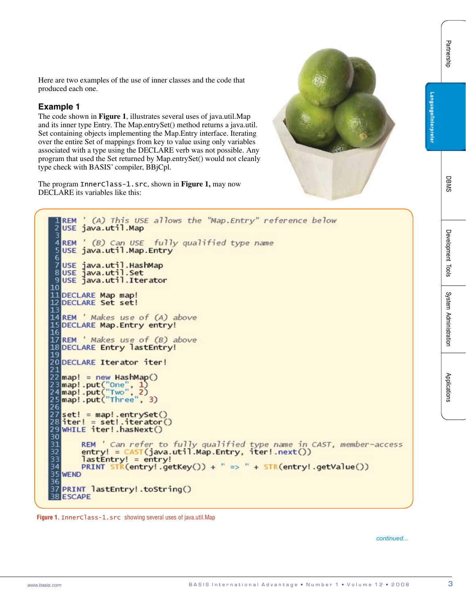Here are two examples of the use of inner classes and the code that produced each one.

### **Example 1**

The code shown in **Figure 1**, illustrates several uses of java.util.Map and its inner type Entry. The Map.entrySet() method returns a java.util. Set containing objects implementing the Map.Entry interface. Iterating over the entire Set of mappings from key to value using only variables associated with a type using the DECLARE verb was not possible. Any program that used the Set returned by Map.entrySet() would not cleanly type check with BASIS' compiler, BBjCpl.

The program InnerClass-1.src, shown in **Figure 1,** may now DECLARE its variables like this:



Hew so two exceptes of the tree fines in the term in the result of the result of the result of the result of the result of the result of the result of the result of the result of the result of the results. The results is

**Figure 1.** InnerClass-1.src showing several uses of java.util.Map

*continued...*